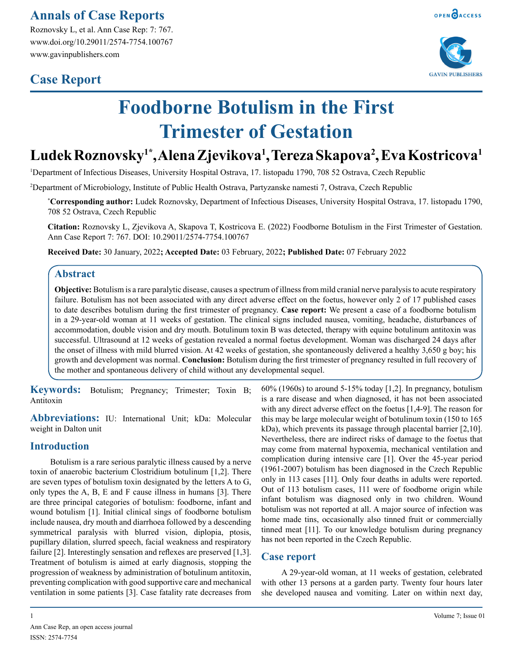### **Annals of Case Reports**

Roznovsky L, et al. Ann Case Rep: 7: 767. www.doi.org/10.29011/2574-7754.100767 www.gavinpublishers.com

## **Case Report**





# **Foodborne Botulism in the First Trimester of Gestation**

## **Ludek Roznovsky1\*, Alena Zjevikova1 , Tereza Skapova2 , Eva Kostricova1**

1 Department of Infectious Diseases, University Hospital Ostrava, 17. listopadu 1790, 708 52 Ostrava, Czech Republic

2 Department of Microbiology, Institute of Public Health Ostrava, Partyzanske namesti 7, Ostrava, Czech Republic

**\* Corresponding author:** Ludek Roznovsky, Department of Infectious Diseases, University Hospital Ostrava, 17. listopadu 1790, 708 52 Ostrava, Czech Republic

**Citation:** Roznovsky L, Zjevikova A, Skapova T, Kostricova E. (2022) Foodborne Botulism in the First Trimester of Gestation. Ann Case Report 7: 767. DOI: 10.29011/2574-7754.100767

**Received Date:** 30 January, 2022**; Accepted Date:** 03 February, 2022**; Published Date:** 07 February 2022

#### **Abstract**

**Objective:** Botulism is a rare paralytic disease, causes a spectrum of illness from mild cranial nerve paralysis to acute respiratory failure. Botulism has not been associated with any direct adverse effect on the foetus, however only 2 of 17 published cases to date describes botulism during the first trimester of pregnancy. **Case report:** We present a case of a foodborne botulism in a 29-year-old woman at 11 weeks of gestation. The clinical signs included nausea, vomiting, headache, disturbances of accommodation, double vision and dry mouth. Botulinum toxin B was detected, therapy with equine botulinum antitoxin was successful. Ultrasound at 12 weeks of gestation revealed a normal foetus development. Woman was discharged 24 days after the onset of illness with mild blurred vision. At 42 weeks of gestation, she spontaneously delivered a healthy 3,650 g boy; his growth and development was normal. **Conclusion:** Botulism during the first trimester of pregnancy resulted in full recovery of the mother and spontaneous delivery of child without any developmental sequel.

**Keywords:** Botulism; Pregnancy; Trimester; Toxin B; Antitoxin

**Abbreviations:** IU: International Unit; kDa: Molecular weight in Dalton unit

#### **Introduction**

Botulism is a rare serious paralytic illness caused by a nerve toxin of anaerobic bacterium Clostridium botulinum [1,2]. There are seven types of botulism toxin designated by the letters A to G, only types the A, B, E and F cause illness in humans [3]. There are three principal categories of botulism: foodborne, infant and wound botulism [1]. Initial clinical sings of foodborne botulism include nausea, dry mouth and diarrhoea followed by a descending symmetrical paralysis with blurred vision, diplopia, ptosis, pupillary dilation, slurred speech, facial weakness and respiratory failure [2]. Interestingly sensation and reflexes are preserved [1,3]. Treatment of botulism is aimed at early diagnosis, stopping the progression of weakness by administration of botulinum antitoxin, preventing complication with good supportive care and mechanical ventilation in some patients [3]. Case fatality rate decreases from

 $60\%$  (1960s) to around 5-15% today [1,2]. In pregnancy, botulism is a rare disease and when diagnosed, it has not been associated with any direct adverse effect on the foetus [1,4-9]. The reason for this may be large molecular weight of botulinum toxin (150 to 165 kDa), which prevents its passage through placental barrier [2,10]. Nevertheless, there are indirect risks of damage to the foetus that may come from maternal hypoxemia, mechanical ventilation and complication during intensive care [1]. Over the 45-year period (1961-2007) botulism has been diagnosed in the Czech Republic only in 113 cases [11]. Only four deaths in adults were reported. Out of 113 botulism cases, 111 were of foodborne origin while infant botulism was diagnosed only in two children. Wound botulism was not reported at all. A major source of infection was home made tins, occasionally also tinned fruit or commercially tinned meat [11]. To our knowledge botulism during pregnancy has not been reported in the Czech Republic.

#### **Case report**

A 29-year-old woman, at 11 weeks of gestation, celebrated with other 13 persons at a garden party. Twenty four hours later she developed nausea and vomiting. Later on within next day,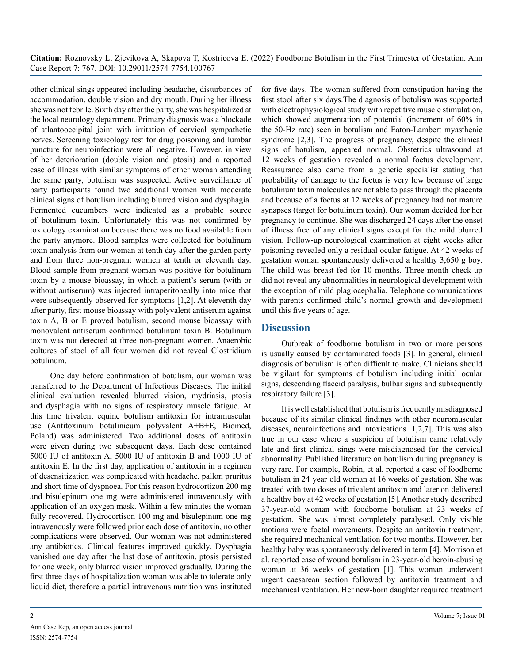**Citation:** Roznovsky L, Zjevikova A, Skapova T, Kostricova E. (2022) Foodborne Botulism in the First Trimester of Gestation. Ann Case Report 7: 767. DOI: 10.29011/2574-7754.100767

other clinical sings appeared including headache, disturbances of accommodation, double vision and dry mouth. During her illness she was not febrile. Sixth day after the party, she was hospitalized at the local neurology department. Primary diagnosis was a blockade of atlantooccipital joint with irritation of cervical sympathetic nerves. Screening toxicology test for drug poisoning and lumbar puncture for neuroinfection were all negative. However, in view of her deterioration (double vision and ptosis) and a reported case of illness with similar symptoms of other woman attending the same party, botulism was suspected. Active surveillance of party participants found two additional women with moderate clinical signs of botulism including blurred vision and dysphagia. Fermented cucumbers were indicated as a probable source of botulinum toxin. Unfortunately this was not confirmed by toxicology examination because there was no food available from the party anymore. Blood samples were collected for botulinum toxin analysis from our woman at tenth day after the garden party and from three non-pregnant women at tenth or eleventh day. Blood sample from pregnant woman was positive for botulinum toxin by a mouse bioassay, in which a patient's serum (with or without antiserum) was injected intraperitoneally into mice that were subsequently observed for symptoms [1,2]. At eleventh day after party, first mouse bioassay with polyvalent antiserum against toxin A, B or E proved botulism, second mouse bioassay with monovalent antiserum confirmed botulinum toxin B. Botulinum toxin was not detected at three non-pregnant women. Anaerobic cultures of stool of all four women did not reveal Clostridium botulinum.

One day before confirmation of botulism, our woman was transferred to the Department of Infectious Diseases. The initial clinical evaluation revealed blurred vision, mydriasis, ptosis and dysphagia with no signs of respiratory muscle fatigue. At this time trivalent equine botulism antitoxin for intramuscular use (Antitoxinum botulinicum polyvalent A+B+E, Biomed, Poland) was administered. Two additional doses of antitoxin were given during two subsequent days. Each dose contained 5000 IU of antitoxin A, 5000 IU of antitoxin B and 1000 IU of antitoxin E. In the first day, application of antitoxin in a regimen of desensitization was complicated with headache, pallor, pruritus and short time of dyspnoea. For this reason hydrocortizon 200 mg and bisulepinum one mg were administered intravenously with application of an oxygen mask. Within a few minutes the woman fully recovered. Hydrocortison 100 mg and bisulepinum one mg intravenously were followed prior each dose of antitoxin, no other complications were observed. Our woman was not administered any antibiotics. Clinical features improved quickly. Dysphagia vanished one day after the last dose of antitoxin, ptosis persisted for one week, only blurred vision improved gradually. During the first three days of hospitalization woman was able to tolerate only liquid diet, therefore a partial intravenous nutrition was instituted

for five days. The woman suffered from constipation having the first stool after six days.The diagnosis of botulism was supported with electrophysiological study with repetitive muscle stimulation, which showed augmentation of potential (increment of 60% in the 50-Hz rate) seen in botulism and Eaton-Lambert myasthenic syndrome [2,3]. The progress of pregnancy, despite the clinical signs of botulism, appeared normal. Obstetrics ultrasound at 12 weeks of gestation revealed a normal foetus development. Reassurance also came from a genetic specialist stating that probability of damage to the foetus is very low because of large botulinum toxin molecules are not able to pass through the placenta and because of a foetus at 12 weeks of pregnancy had not mature synapses (target for botulinum toxin). Our woman decided for her pregnancy to continue. She was discharged 24 days after the onset of illness free of any clinical signs except for the mild blurred vision. Follow-up neurological examination at eight weeks after poisoning revealed only a residual ocular fatigue. At 42 weeks of gestation woman spontaneously delivered a healthy 3,650 g boy. The child was breast-fed for 10 months. Three-month check-up did not reveal any abnormalities in neurological development with the exception of mild plagiocephalia. Telephone communications with parents confirmed child's normal growth and development until this five years of age.

#### **Discussion**

Outbreak of foodborne botulism in two or more persons is usually caused by contaminated foods [3]. In general, clinical diagnosis of botulism is often difficult to make. Clinicians should be vigilant for symptoms of botulism including initial ocular signs, descending flaccid paralysis, bulbar signs and subsequently respiratory failure [3].

It is well established that botulism is frequently misdiagnosed because of its similar clinical findings with other neuromuscular diseases, neuroinfections and intoxications [1,2,7]. This was also true in our case where a suspicion of botulism came relatively late and first clinical sings were misdiagnosed for the cervical abnormality. Published literature on botulism during pregnancy is very rare. For example, Robin, et al. reported a case of foodborne botulism in 24-year-old woman at 16 weeks of gestation. She was treated with two doses of trivalent antitoxin and later on delivered a healthy boy at 42 weeks of gestation [5]. Another study described 37-year-old woman with foodborne botulism at 23 weeks of gestation. She was almost completely paralysed. Only visible motions were foetal movements. Despite an antitoxin treatment, she required mechanical ventilation for two months. However, her healthy baby was spontaneously delivered in term [4]. Morrison et al. reported case of wound botulism in 23-year-old heroin-abusing woman at 36 weeks of gestation [1]. This woman underwent urgent caesarean section followed by antitoxin treatment and mechanical ventilation. Her new-born daughter required treatment